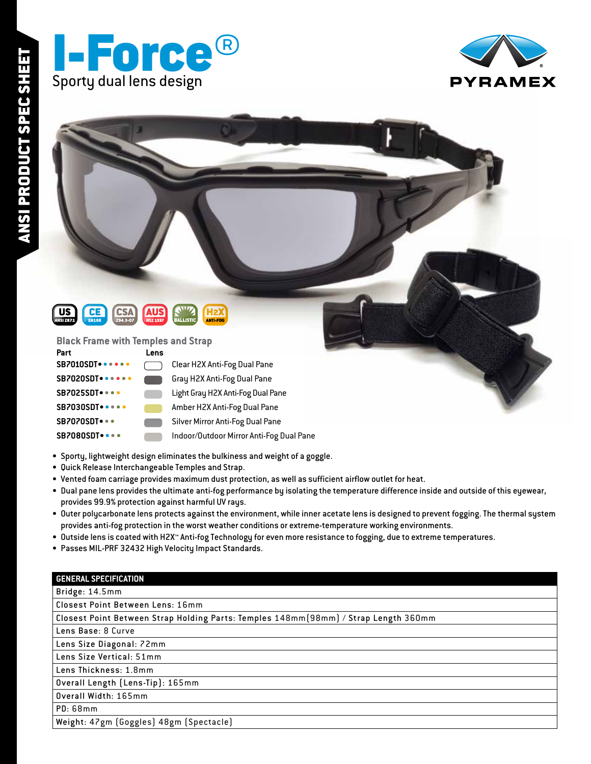





### **Black Frame with Temples and Strap**

| Part                         | <b>Lens</b> |                                          |
|------------------------------|-------------|------------------------------------------|
| <b>SB7010SDT</b> • • • • •   |             | Clear H2X Anti-Fog Dual Pane             |
| <b>SB7020SDT</b> • • • • • • |             | Gray H2X Anti-Fog Dual Pane              |
| SB7025SDT                    |             | Light Gray H2X Anti-Fog Dual Pane        |
| <b>SB7030SDT •••••</b>       |             | Amber H2X Anti-Fog Dual Pane             |
| <b>SB7070SDT</b> • • •       |             | Silver Mirror Anti-Fog Dual Pane         |
| <b>SB7080SDT</b> • • • •     |             | Indoor/Outdoor Mirror Anti-Fog Dual Pane |

- Sporty, lightweight design eliminates the bulkiness and weight of a goggle.
- Quick Release Interchangeable Temples and Strap.
- Vented foam carriage provides maximum dust protection, as well as sufficient airflow outlet for heat.
- Dual pane lens provides the ultimate anti-fog performance by isolating the temperature difference inside and outside of this eyewear, provides 99.9% protection against harmful UV rays.
- Outer polycarbonate lens protects against the environment, while inner acetate lens is designed to prevent fogging. The thermal system provides anti-fog protection in the worst weather conditions or extreme-temperature working environments.
- Outside lens is coated with H2X™ Anti-fog Technology for even more resistance to fogging, due to extreme temperatures.
- Passes MIL-PRF 32432 High Velocity Impact Standards.

| <b>GENERAL SPECIFICATION</b> |  |  |  |
|------------------------------|--|--|--|
|                              |  |  |  |
|                              |  |  |  |

## Bridge: 14.5mm

Closest Point Between Lens: 16mm

Closest Point Between Strap Holding Parts: Temples 148mm(98mm) / Strap Length 360mm

Lens Base: 8 Curve

Lens Size Diagonal: 72mm

Lens Size Vertical: 51mm

Lens Thickness: 1.8mm

Overall Length (Lens-Tip): 165mm

Overall Width: 165mm

PD: 68mm

Weight: 47gm (Goggles) 48gm (Spectacle)